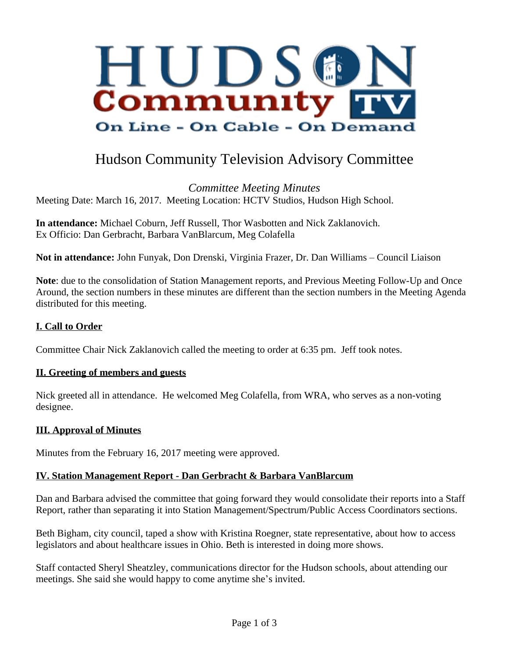

# Hudson Community Television Advisory Committee

*Committee Meeting Minutes* Meeting Date: March 16, 2017. Meeting Location: HCTV Studios, Hudson High School.

**In attendance:** Michael Coburn, Jeff Russell, Thor Wasbotten and Nick Zaklanovich. Ex Officio: Dan Gerbracht, Barbara VanBlarcum, Meg Colafella

**Not in attendance:** John Funyak, Don Drenski, Virginia Frazer, Dr. Dan Williams – Council Liaison

**Note**: due to the consolidation of Station Management reports, and Previous Meeting Follow-Up and Once Around, the section numbers in these minutes are different than the section numbers in the Meeting Agenda distributed for this meeting.

### **I. Call to Order**

Committee Chair Nick Zaklanovich called the meeting to order at 6:35 pm. Jeff took notes.

#### **II. Greeting of members and guests**

Nick greeted all in attendance. He welcomed Meg Colafella, from WRA, who serves as a non-voting designee.

### **III. Approval of Minutes**

Minutes from the February 16, 2017 meeting were approved.

### **IV. Station Management Report - Dan Gerbracht & Barbara VanBlarcum**

Dan and Barbara advised the committee that going forward they would consolidate their reports into a Staff Report, rather than separating it into Station Management/Spectrum/Public Access Coordinators sections.

Beth Bigham, city council, taped a show with Kristina Roegner, state representative, about how to access legislators and about healthcare issues in Ohio. Beth is interested in doing more shows.

Staff contacted Sheryl Sheatzley, communications director for the Hudson schools, about attending our meetings. She said she would happy to come anytime she's invited.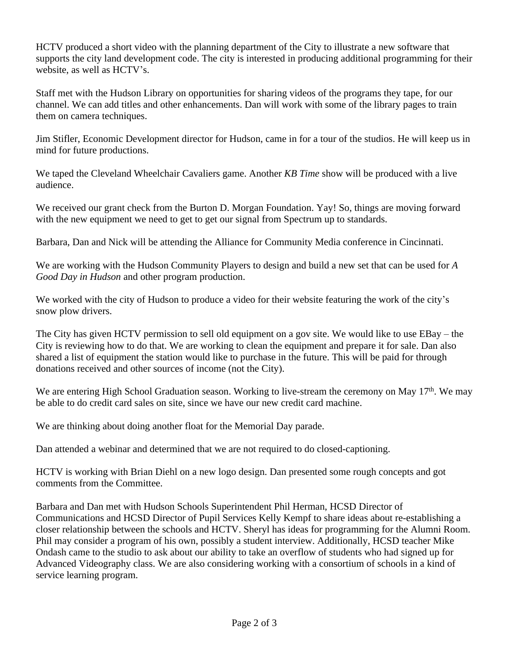HCTV produced a short video with the planning department of the City to illustrate a new software that supports the city land development code. The city is interested in producing additional programming for their website, as well as HCTV's.

Staff met with the Hudson Library on opportunities for sharing videos of the programs they tape, for our channel. We can add titles and other enhancements. Dan will work with some of the library pages to train them on camera techniques.

Jim Stifler, Economic Development director for Hudson, came in for a tour of the studios. He will keep us in mind for future productions.

We taped the Cleveland Wheelchair Cavaliers game. Another *KB Time* show will be produced with a live audience.

We received our grant check from the Burton D. Morgan Foundation. Yay! So, things are moving forward with the new equipment we need to get to get our signal from Spectrum up to standards.

Barbara, Dan and Nick will be attending the Alliance for Community Media conference in Cincinnati.

We are working with the Hudson Community Players to design and build a new set that can be used for *A Good Day in Hudson* and other program production.

We worked with the city of Hudson to produce a video for their website featuring the work of the city's snow plow drivers.

The City has given HCTV permission to sell old equipment on a gov site. We would like to use EBay – the City is reviewing how to do that. We are working to clean the equipment and prepare it for sale. Dan also shared a list of equipment the station would like to purchase in the future. This will be paid for through donations received and other sources of income (not the City).

We are entering High School Graduation season. Working to live-stream the ceremony on May 17<sup>th</sup>. We may be able to do credit card sales on site, since we have our new credit card machine.

We are thinking about doing another float for the Memorial Day parade.

Dan attended a webinar and determined that we are not required to do closed-captioning.

HCTV is working with Brian Diehl on a new logo design. Dan presented some rough concepts and got comments from the Committee.

Barbara and Dan met with Hudson Schools Superintendent Phil Herman, HCSD Director of Communications and HCSD Director of Pupil Services Kelly Kempf to share ideas about re-establishing a closer relationship between the schools and HCTV. Sheryl has ideas for programming for the Alumni Room. Phil may consider a program of his own, possibly a student interview. Additionally, HCSD teacher Mike Ondash came to the studio to ask about our ability to take an overflow of students who had signed up for Advanced Videography class. We are also considering working with a consortium of schools in a kind of service learning program.